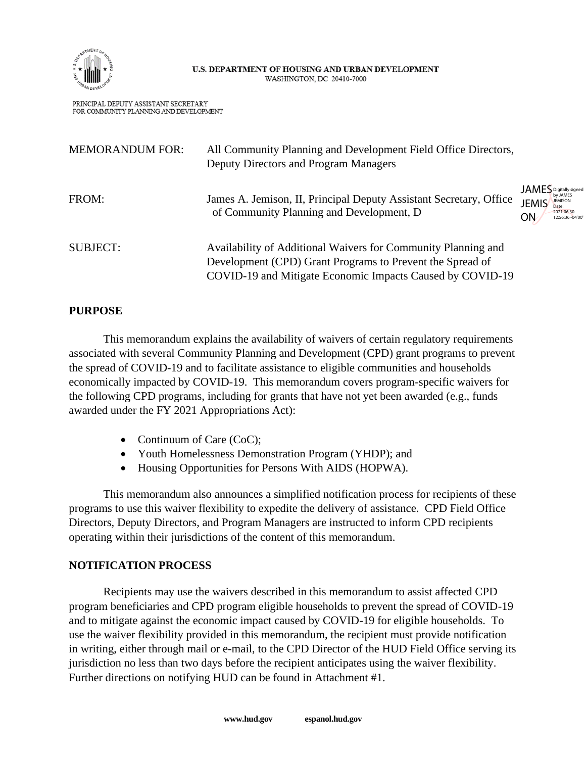

#### U.S. DEPARTMENT OF HOUSING AND URBAN DEVELOPMENT WASHINGTON, DC 20410-7000

PRINCIPAL DEPUTY ASSISTANT SECRETARY FOR COMMUNITY PLANNING AND DEVELOPMENT

| <b>MEMORANDUM FOR:</b> | All Community Planning and Development Field Office Directors,<br>Deputy Directors and Program Managers                                                                                 |                                                                                                         |
|------------------------|-----------------------------------------------------------------------------------------------------------------------------------------------------------------------------------------|---------------------------------------------------------------------------------------------------------|
| FROM:                  | James A. Jemison, II, Principal Deputy Assistant Secretary, Office<br>of Community Planning and Development, D                                                                          | <b>JAMES</b> Digitally signed<br><b>JEMIS</b><br><b>JEMISON</b><br>2021.06.30<br>ΟN<br>12:56:36 -04'00' |
| <b>SUBJECT:</b>        | Availability of Additional Waivers for Community Planning and<br>Development (CPD) Grant Programs to Prevent the Spread of<br>COVID-19 and Mitigate Economic Impacts Caused by COVID-19 |                                                                                                         |

# **PURPOSE**

This memorandum explains the availability of waivers of certain regulatory requirements associated with several Community Planning and Development (CPD) grant programs to prevent the spread of COVID-19 and to facilitate assistance to eligible communities and households economically impacted by COVID-19. This memorandum covers program-specific waivers for the following CPD programs, including for grants that have not yet been awarded (e.g., funds awarded under the FY 2021 Appropriations Act):

- Continuum of Care (CoC);
- Youth Homelessness Demonstration Program (YHDP); and
- Housing Opportunities for Persons With AIDS (HOPWA).

This memorandum also announces a simplified notification process for recipients of these programs to use this waiver flexibility to expedite the delivery of assistance. CPD Field Office Directors, Deputy Directors, and Program Managers are instructed to inform CPD recipients operating within their jurisdictions of the content of this memorandum.

# **NOTIFICATION PROCESS**

Recipients may use the waivers described in this memorandum to assist affected CPD program beneficiaries and CPD program eligible households to prevent the spread of COVID-19 and to mitigate against the economic impact caused by COVID-19 for eligible households. To use the waiver flexibility provided in this memorandum, the recipient must provide notification in writing, either through mail or e-mail, to the CPD Director of the HUD Field Office serving its jurisdiction no less than two days before the recipient anticipates using the waiver flexibility. Further directions on notifying HUD can be found in Attachment #1.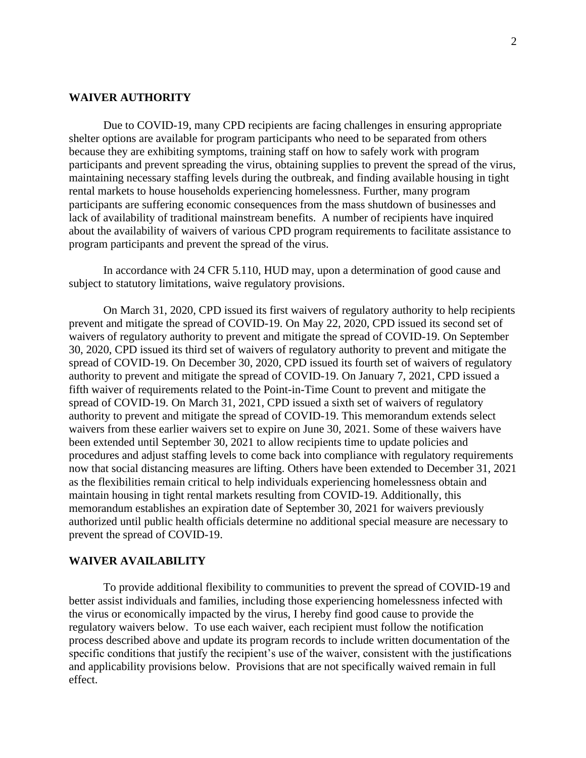#### **WAIVER AUTHORITY**

Due to COVID-19, many CPD recipients are facing challenges in ensuring appropriate shelter options are available for program participants who need to be separated from others because they are exhibiting symptoms, training staff on how to safely work with program participants and prevent spreading the virus, obtaining supplies to prevent the spread of the virus, maintaining necessary staffing levels during the outbreak, and finding available housing in tight rental markets to house households experiencing homelessness. Further, many program participants are suffering economic consequences from the mass shutdown of businesses and lack of availability of traditional mainstream benefits. A number of recipients have inquired about the availability of waivers of various CPD program requirements to facilitate assistance to program participants and prevent the spread of the virus.

In accordance with 24 CFR 5.110, HUD may, upon a determination of good cause and subject to statutory limitations, waive regulatory provisions.

On March 31, 2020, CPD issued its first waivers of regulatory authority to help recipients prevent and mitigate the spread of COVID-19. On May 22, 2020, CPD issued its second set of waivers of regulatory authority to prevent and mitigate the spread of COVID-19. On September 30, 2020, CPD issued its third set of waivers of regulatory authority to prevent and mitigate the spread of COVID-19. On December 30, 2020, CPD issued its fourth set of waivers of regulatory authority to prevent and mitigate the spread of COVID-19. On January 7, 2021, CPD issued a fifth waiver of requirements related to the Point-in-Time Count to prevent and mitigate the spread of COVID-19. On March 31, 2021, CPD issued a sixth set of waivers of regulatory authority to prevent and mitigate the spread of COVID-19. This memorandum extends select waivers from these earlier waivers set to expire on June 30, 2021. Some of these waivers have been extended until September 30, 2021 to allow recipients time to update policies and procedures and adjust staffing levels to come back into compliance with regulatory requirements now that social distancing measures are lifting. Others have been extended to December 31, 2021 as the flexibilities remain critical to help individuals experiencing homelessness obtain and maintain housing in tight rental markets resulting from COVID-19. Additionally, this memorandum establishes an expiration date of September 30, 2021 for waivers previously authorized until public health officials determine no additional special measure are necessary to prevent the spread of COVID-19.

#### **WAIVER AVAILABILITY**

To provide additional flexibility to communities to prevent the spread of COVID-19 and better assist individuals and families, including those experiencing homelessness infected with the virus or economically impacted by the virus, I hereby find good cause to provide the regulatory waivers below. To use each waiver, each recipient must follow the notification process described above and update its program records to include written documentation of the specific conditions that justify the recipient's use of the waiver, consistent with the justifications and applicability provisions below. Provisions that are not specifically waived remain in full effect.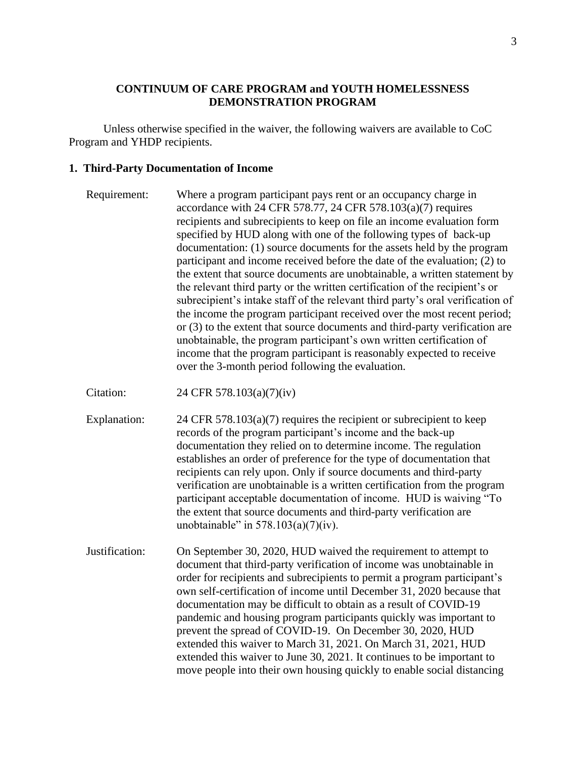## **CONTINUUM OF CARE PROGRAM and YOUTH HOMELESSNESS DEMONSTRATION PROGRAM**

Unless otherwise specified in the waiver, the following waivers are available to CoC Program and YHDP recipients.

#### **1. Third-Party Documentation of Income**

| Requirement: | Where a program participant pays rent or an occupancy charge in                |
|--------------|--------------------------------------------------------------------------------|
|              | accordance with 24 CFR 578.77, 24 CFR 578.103(a)(7) requires                   |
|              | recipients and subrecipients to keep on file an income evaluation form         |
|              | specified by HUD along with one of the following types of back-up              |
|              | documentation: (1) source documents for the assets held by the program         |
|              | participant and income received before the date of the evaluation; (2) to      |
|              | the extent that source documents are unobtainable, a written statement by      |
|              | the relevant third party or the written certification of the recipient's or    |
|              | subrecipient's intake staff of the relevant third party's oral verification of |
|              | the income the program participant received over the most recent period;       |
|              | or (3) to the extent that source documents and third-party verification are    |
|              | unobtainable, the program participant's own written certification of           |
|              | income that the program participant is reasonably expected to receive          |
|              | over the 3-month period following the evaluation.                              |

Citation: 24 CFR 578.103(a)(7)(iv)

Explanation:  $24 \text{ CFR } 578.103(a)(7)$  requires the recipient or subrecipient to keep records of the program participant's income and the back-up documentation they relied on to determine income. The regulation establishes an order of preference for the type of documentation that recipients can rely upon. Only if source documents and third-party verification are unobtainable is a written certification from the program participant acceptable documentation of income. HUD is waiving "To the extent that source documents and third-party verification are unobtainable" in  $578.103(a)(7)(iv)$ .

Justification: On September 30, 2020, HUD waived the requirement to attempt to document that third-party verification of income was unobtainable in order for recipients and subrecipients to permit a program participant's own self-certification of income until December 31, 2020 because that documentation may be difficult to obtain as a result of COVID-19 pandemic and housing program participants quickly was important to prevent the spread of COVID-19. On December 30, 2020, HUD extended this waiver to March 31, 2021. On March 31, 2021, HUD extended this waiver to June 30, 2021. It continues to be important to move people into their own housing quickly to enable social distancing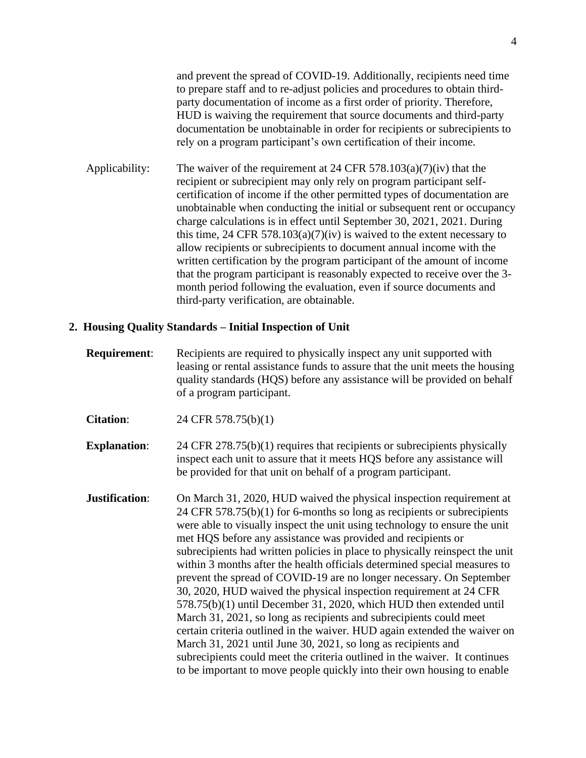and prevent the spread of COVID-19. Additionally, recipients need time to prepare staff and to re-adjust policies and procedures to obtain thirdparty documentation of income as a first order of priority. Therefore, HUD is waiving the requirement that source documents and third-party documentation be unobtainable in order for recipients or subrecipients to rely on a program participant's own certification of their income.

Applicability: The waiver of the requirement at 24 CFR 578.103(a)(7)(iv) that the recipient or subrecipient may only rely on program participant selfcertification of income if the other permitted types of documentation are unobtainable when conducting the initial or subsequent rent or occupancy charge calculations is in effect until September 30, 2021, 2021. During this time, 24 CFR 578.103(a)(7)(iv) is waived to the extent necessary to allow recipients or subrecipients to document annual income with the written certification by the program participant of the amount of income that the program participant is reasonably expected to receive over the 3 month period following the evaluation, even if source documents and third-party verification, are obtainable.

#### **2. Housing Quality Standards – Initial Inspection of Unit**

**Requirement**: Recipients are required to physically inspect any unit supported with leasing or rental assistance funds to assure that the unit meets the housing quality standards (HQS) before any assistance will be provided on behalf of a program participant.

**Citation**: 24 CFR 578.75(b)(1)

**Explanation:** 24 CFR 278.75(b)(1) requires that recipients or subrecipients physically inspect each unit to assure that it meets HQS before any assistance will be provided for that unit on behalf of a program participant.

**Justification:** On March 31, 2020, HUD waived the physical inspection requirement at 24 CFR 578.75(b)(1) for 6-months so long as recipients or subrecipients were able to visually inspect the unit using technology to ensure the unit met HQS before any assistance was provided and recipients or subrecipients had written policies in place to physically reinspect the unit within 3 months after the health officials determined special measures to prevent the spread of COVID-19 are no longer necessary. On September 30, 2020, HUD waived the physical inspection requirement at 24 CFR 578.75(b)(1) until December 31, 2020, which HUD then extended until March 31, 2021, so long as recipients and subrecipients could meet certain criteria outlined in the waiver. HUD again extended the waiver on March 31, 2021 until June 30, 2021, so long as recipients and subrecipients could meet the criteria outlined in the waiver. It continues to be important to move people quickly into their own housing to enable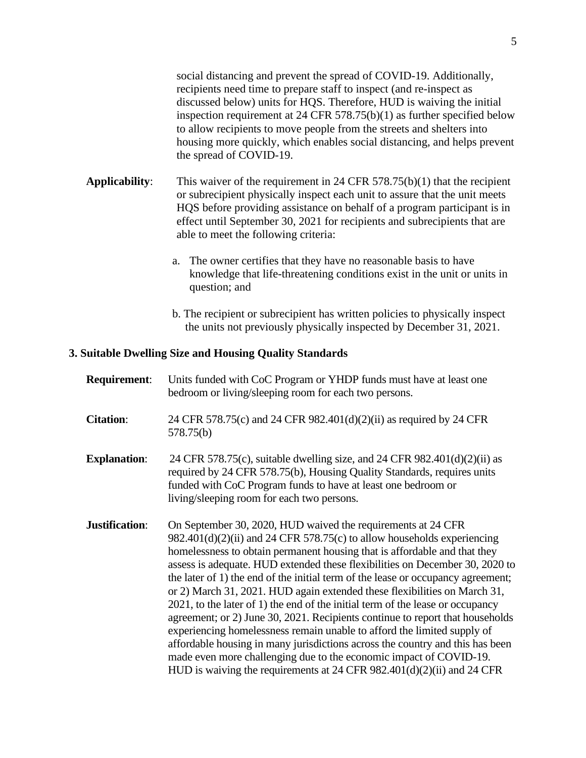social distancing and prevent the spread of COVID-19. Additionally, recipients need time to prepare staff to inspect (and re-inspect as discussed below) units for HQS. Therefore, HUD is waiving the initial inspection requirement at 24 CFR 578.75(b)(1) as further specified below to allow recipients to move people from the streets and shelters into housing more quickly, which enables social distancing, and helps prevent the spread of COVID-19.

- **Applicability**: This waiver of the requirement in 24 CFR 578.75(b)(1) that the recipient or subrecipient physically inspect each unit to assure that the unit meets HQS before providing assistance on behalf of a program participant is in effect until September 30, 2021 for recipients and subrecipients that are able to meet the following criteria:
	- a. The owner certifies that they have no reasonable basis to have knowledge that life-threatening conditions exist in the unit or units in question; and
	- b. The recipient or subrecipient has written policies to physically inspect the units not previously physically inspected by December 31, 2021.

#### **3. Suitable Dwelling Size and Housing Quality Standards**

| <b>Requirement:</b> | Units funded with CoC Program or YHDP funds must have at least one<br>bedroom or living/sleeping room for each two persons.                                                                                                                                                                                                                                                                                                                                                                                                                                                                                                                                                                                                                                                                                                                                                                                                                                |
|---------------------|------------------------------------------------------------------------------------------------------------------------------------------------------------------------------------------------------------------------------------------------------------------------------------------------------------------------------------------------------------------------------------------------------------------------------------------------------------------------------------------------------------------------------------------------------------------------------------------------------------------------------------------------------------------------------------------------------------------------------------------------------------------------------------------------------------------------------------------------------------------------------------------------------------------------------------------------------------|
| <b>Citation:</b>    | 24 CFR 578.75(c) and 24 CFR 982.401(d)(2)(ii) as required by 24 CFR<br>578.75(b)                                                                                                                                                                                                                                                                                                                                                                                                                                                                                                                                                                                                                                                                                                                                                                                                                                                                           |
| <b>Explanation:</b> | 24 CFR 578.75(c), suitable dwelling size, and 24 CFR $982.401(d)(2)(ii)$ as<br>required by 24 CFR 578.75(b), Housing Quality Standards, requires units<br>funded with CoC Program funds to have at least one bedroom or<br>living/sleeping room for each two persons.                                                                                                                                                                                                                                                                                                                                                                                                                                                                                                                                                                                                                                                                                      |
| Justification:      | On September 30, 2020, HUD waived the requirements at 24 CFR<br>$982.401(d)(2)(ii)$ and 24 CFR 578.75(c) to allow households experiencing<br>homelessness to obtain permanent housing that is affordable and that they<br>assess is adequate. HUD extended these flexibilities on December 30, 2020 to<br>the later of 1) the end of the initial term of the lease or occupancy agreement;<br>or 2) March 31, 2021. HUD again extended these flexibilities on March 31,<br>2021, to the later of 1) the end of the initial term of the lease or occupancy<br>agreement; or 2) June 30, 2021. Recipients continue to report that households<br>experiencing homelessness remain unable to afford the limited supply of<br>affordable housing in many jurisdictions across the country and this has been<br>made even more challenging due to the economic impact of COVID-19.<br>HUD is waiving the requirements at $24$ CFR 982.401(d)(2)(ii) and $24$ CFR |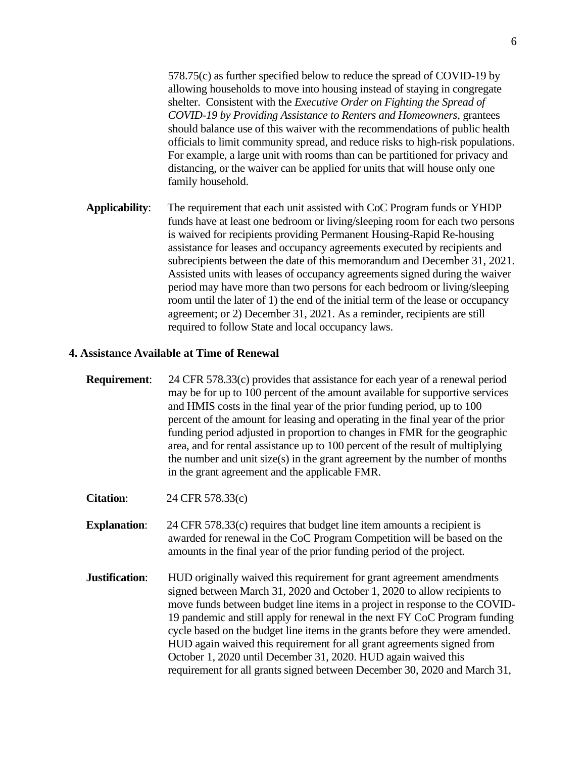578.75(c) as further specified below to reduce the spread of COVID-19 by allowing households to move into housing instead of staying in congregate shelter. Consistent with the *Executive Order on Fighting the Spread of COVID-19 by Providing Assistance to Renters and Homeowners,* grantees should balance use of this waiver with the recommendations of public health officials to limit community spread, and reduce risks to high-risk populations. For example, a large unit with rooms than can be partitioned for privacy and distancing, or the waiver can be applied for units that will house only one family household.

**Applicability**: The requirement that each unit assisted with CoC Program funds or YHDP funds have at least one bedroom or living/sleeping room for each two persons is waived for recipients providing Permanent Housing-Rapid Re-housing assistance for leases and occupancy agreements executed by recipients and subrecipients between the date of this memorandum and December 31, 2021. Assisted units with leases of occupancy agreements signed during the waiver period may have more than two persons for each bedroom or living/sleeping room until the later of 1) the end of the initial term of the lease or occupancy agreement; or 2) December 31, 2021. As a reminder, recipients are still required to follow State and local occupancy laws.

#### **4. Assistance Available at Time of Renewal**

**Requirement:** 24 CFR 578.33(c) provides that assistance for each year of a renewal period may be for up to 100 percent of the amount available for supportive services and HMIS costs in the final year of the prior funding period, up to 100 percent of the amount for leasing and operating in the final year of the prior funding period adjusted in proportion to changes in FMR for the geographic area, and for rental assistance up to 100 percent of the result of multiplying the number and unit size(s) in the grant agreement by the number of months in the grant agreement and the applicable FMR.

**Citation**: 24 CFR 578.33(c)

- **Explanation:** 24 CFR 578.33(c) requires that budget line item amounts a recipient is awarded for renewal in the CoC Program Competition will be based on the amounts in the final year of the prior funding period of the project.
- **Justification:** HUD originally waived this requirement for grant agreement amendments signed between March 31, 2020 and October 1, 2020 to allow recipients to move funds between budget line items in a project in response to the COVID-19 pandemic and still apply for renewal in the next FY CoC Program funding cycle based on the budget line items in the grants before they were amended. HUD again waived this requirement for all grant agreements signed from October 1, 2020 until December 31, 2020. HUD again waived this requirement for all grants signed between December 30, 2020 and March 31,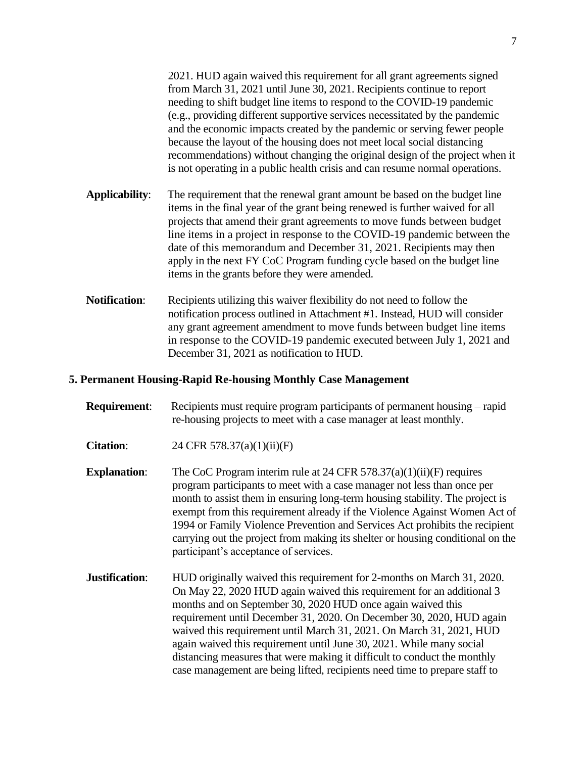2021. HUD again waived this requirement for all grant agreements signed from March 31, 2021 until June 30, 2021. Recipients continue to report needing to shift budget line items to respond to the COVID-19 pandemic (e.g., providing different supportive services necessitated by the pandemic and the economic impacts created by the pandemic or serving fewer people because the layout of the housing does not meet local social distancing recommendations) without changing the original design of the project when it is not operating in a public health crisis and can resume normal operations.

- **Applicability**: The requirement that the renewal grant amount be based on the budget line items in the final year of the grant being renewed is further waived for all projects that amend their grant agreements to move funds between budget line items in a project in response to the COVID-19 pandemic between the date of this memorandum and December 31, 2021. Recipients may then apply in the next FY CoC Program funding cycle based on the budget line items in the grants before they were amended.
- **Notification:** Recipients utilizing this waiver flexibility do not need to follow the notification process outlined in Attachment #1. Instead, HUD will consider any grant agreement amendment to move funds between budget line items in response to the COVID-19 pandemic executed between July 1, 2021 and December 31, 2021 as notification to HUD.

## **5. Permanent Housing-Rapid Re-housing Monthly Case Management**

- **Requirement:** Recipients must require program participants of permanent housing rapid re-housing projects to meet with a case manager at least monthly.
- **Citation:** 24 CFR 578.37(a)(1)(ii)(F)
- **Explanation:** The CoC Program interim rule at 24 CFR 578.37(a)(1)(ii)(F) requires program participants to meet with a case manager not less than once per month to assist them in ensuring long-term housing stability. The project is exempt from this requirement already if the Violence Against Women Act of 1994 or Family Violence Prevention and Services Act prohibits the recipient carrying out the project from making its shelter or housing conditional on the participant's acceptance of services.
- **Justification:** HUD originally waived this requirement for 2-months on March 31, 2020. On May 22, 2020 HUD again waived this requirement for an additional 3 months and on September 30, 2020 HUD once again waived this requirement until December 31, 2020. On December 30, 2020, HUD again waived this requirement until March 31, 2021. On March 31, 2021, HUD again waived this requirement until June 30, 2021. While many social distancing measures that were making it difficult to conduct the monthly case management are being lifted, recipients need time to prepare staff to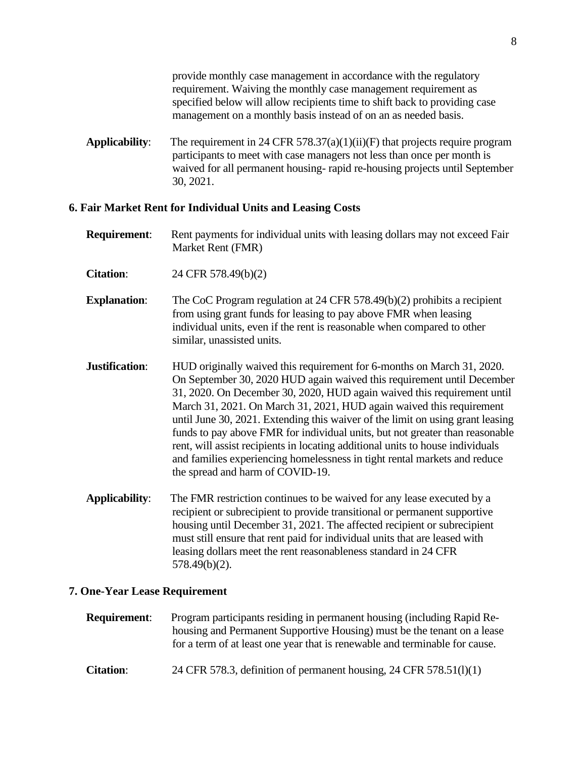provide monthly case management in accordance with the regulatory requirement. Waiving the monthly case management requirement as specified below will allow recipients time to shift back to providing case management on a monthly basis instead of on an as needed basis.

**Applicability**: The requirement in 24 CFR 578.37(a)(1)(ii)(F) that projects require program participants to meet with case managers not less than once per month is waived for all permanent housing- rapid re-housing projects until September 30, 2021.

#### **6. Fair Market Rent for Individual Units and Leasing Costs**

- **Requirement:** Rent payments for individual units with leasing dollars may not exceed Fair Market Rent (FMR)
- **Citation**: 24 CFR 578.49(b)(2)
- **Explanation:** The CoC Program regulation at 24 CFR 578.49(b)(2) prohibits a recipient from using grant funds for leasing to pay above FMR when leasing individual units, even if the rent is reasonable when compared to other similar, unassisted units.
- **Justification:** HUD originally waived this requirement for 6-months on March 31, 2020. On September 30, 2020 HUD again waived this requirement until December 31, 2020. On December 30, 2020, HUD again waived this requirement until March 31, 2021. On March 31, 2021, HUD again waived this requirement until June 30, 2021. Extending this waiver of the limit on using grant leasing funds to pay above FMR for individual units, but not greater than reasonable rent, will assist recipients in locating additional units to house individuals and families experiencing homelessness in tight rental markets and reduce the spread and harm of COVID-19.
- **Applicability**: The FMR restriction continues to be waived for any lease executed by a recipient or subrecipient to provide transitional or permanent supportive housing until December 31, 2021. The affected recipient or subrecipient must still ensure that rent paid for individual units that are leased with leasing dollars meet the rent reasonableness standard in 24 CFR 578.49(b)(2).

#### **7. One-Year Lease Requirement**

| Program participants residing in permanent housing (including Rapid Re-     |
|-----------------------------------------------------------------------------|
| housing and Permanent Supportive Housing) must be the tenant on a lease     |
| for a term of at least one year that is renewable and terminable for cause. |
|                                                                             |

**Citation**: 24 CFR 578.3, definition of permanent housing, 24 CFR 578.51(l)(1)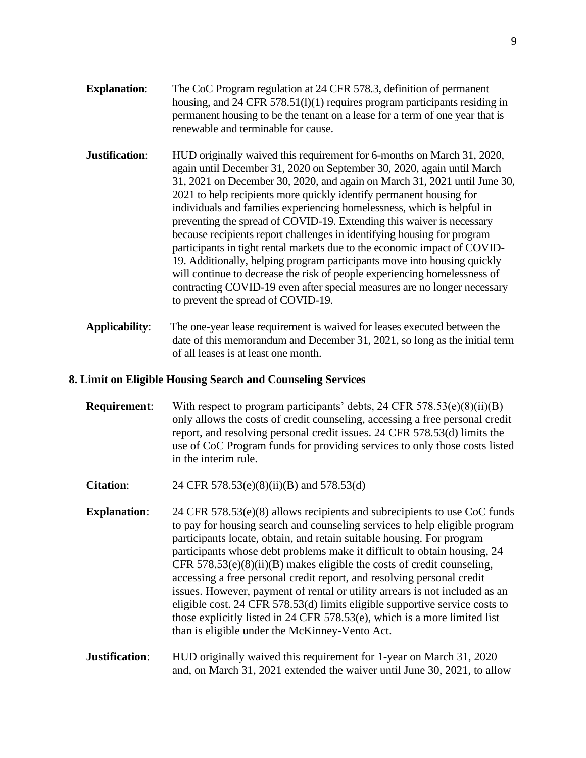- **Explanation:** The CoC Program regulation at 24 CFR 578.3, definition of permanent housing, and 24 CFR 578.51(1)(1) requires program participants residing in permanent housing to be the tenant on a lease for a term of one year that is renewable and terminable for cause.
- **Justification:** HUD originally waived this requirement for 6-months on March 31, 2020, again until December 31, 2020 on September 30, 2020, again until March 31, 2021 on December 30, 2020, and again on March 31, 2021 until June 30, 2021 to help recipients more quickly identify permanent housing for individuals and families experiencing homelessness, which is helpful in preventing the spread of COVID-19. Extending this waiver is necessary because recipients report challenges in identifying housing for program participants in tight rental markets due to the economic impact of COVID-19. Additionally, helping program participants move into housing quickly will continue to decrease the risk of people experiencing homelessness of contracting COVID-19 even after special measures are no longer necessary to prevent the spread of COVID-19.
- **Applicability**: The one-year lease requirement is waived for leases executed between the date of this memorandum and December 31, 2021, so long as the initial term of all leases is at least one month.

#### **8. Limit on Eligible Housing Search and Counseling Services**

- **Requirement:** With respect to program participants' debts, 24 CFR 578.53(e)(8)(ii)(B) only allows the costs of credit counseling, accessing a free personal credit report, and resolving personal credit issues. 24 CFR 578.53(d) limits the use of CoC Program funds for providing services to only those costs listed in the interim rule.
- **Citation:** 24 CFR 578.53(e)(8)(ii)(B) and 578.53(d)
- **Explanation:** 24 CFR 578.53(e)(8) allows recipients and subrecipients to use CoC funds to pay for housing search and counseling services to help eligible program participants locate, obtain, and retain suitable housing. For program participants whose debt problems make it difficult to obtain housing, 24 CFR 578.53(e)(8)(ii)(B) makes eligible the costs of credit counseling, accessing a free personal credit report, and resolving personal credit issues. However, payment of rental or utility arrears is not included as an eligible cost. 24 CFR 578.53(d) limits eligible supportive service costs to those explicitly listed in 24 CFR 578.53(e), which is a more limited list than is eligible under the McKinney-Vento Act.

## **Justification:** HUD originally waived this requirement for 1-year on March 31, 2020 and, on March 31, 2021 extended the waiver until June 30, 2021, to allow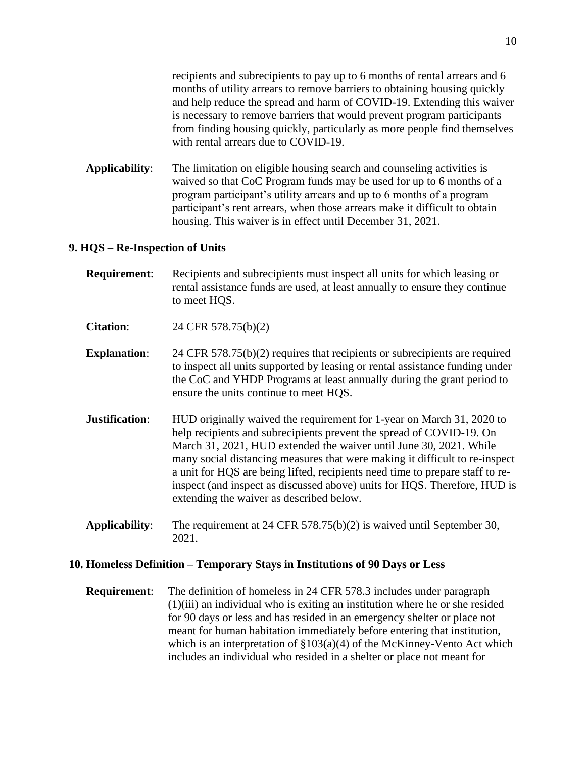recipients and subrecipients to pay up to 6 months of rental arrears and 6 months of utility arrears to remove barriers to obtaining housing quickly and help reduce the spread and harm of COVID-19. Extending this waiver is necessary to remove barriers that would prevent program participants from finding housing quickly, particularly as more people find themselves with rental arrears due to COVID-19.

**Applicability**: The limitation on eligible housing search and counseling activities is waived so that CoC Program funds may be used for up to 6 months of a program participant's utility arrears and up to 6 months of a program participant's rent arrears, when those arrears make it difficult to obtain housing. This waiver is in effect until December 31, 2021.

#### **9. HQS – Re-Inspection of Units**

- **Requirement**: Recipients and subrecipients must inspect all units for which leasing or rental assistance funds are used, at least annually to ensure they continue to meet HQS.
- **Citation**: 24 CFR 578.75(b)(2)
- **Explanation:** 24 CFR 578.75(b)(2) requires that recipients or subrecipients are required to inspect all units supported by leasing or rental assistance funding under the CoC and YHDP Programs at least annually during the grant period to ensure the units continue to meet HQS.
- **Justification:** HUD originally waived the requirement for 1-year on March 31, 2020 to help recipients and subrecipients prevent the spread of COVID-19. On March 31, 2021, HUD extended the waiver until June 30, 2021. While many social distancing measures that were making it difficult to re-inspect a unit for HQS are being lifted, recipients need time to prepare staff to reinspect (and inspect as discussed above) units for HQS. Therefore, HUD is extending the waiver as described below.
- **Applicability**: The requirement at 24 CFR 578.75(b)(2) is waived until September 30, 2021.

#### **10. Homeless Definition – Temporary Stays in Institutions of 90 Days or Less**

**Requirement**: The definition of homeless in 24 CFR 578.3 includes under paragraph (1)(iii) an individual who is exiting an institution where he or she resided for 90 days or less and has resided in an emergency shelter or place not meant for human habitation immediately before entering that institution, which is an interpretation of  $\S 103(a)(4)$  of the McKinney-Vento Act which includes an individual who resided in a shelter or place not meant for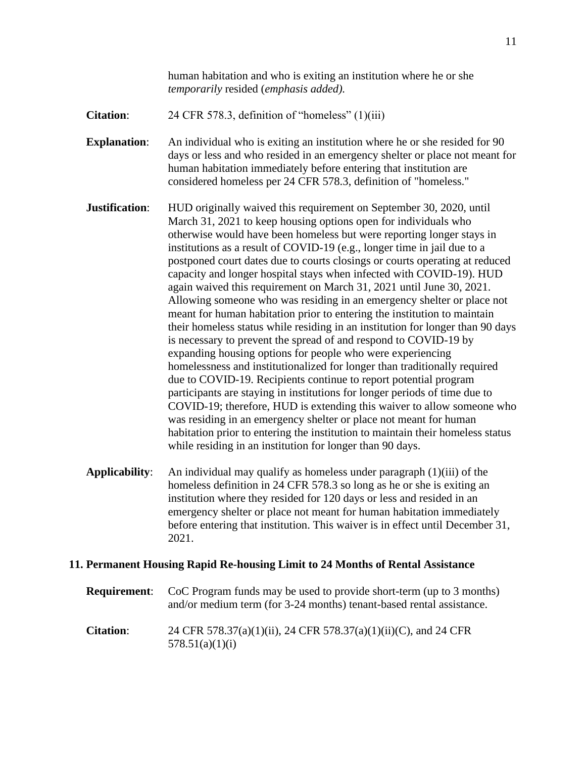- **Citation:** 24 CFR 578.3, definition of "homeless" (1)(iii)
- **Explanation:** An individual who is exiting an institution where he or she resided for 90 days or less and who resided in an emergency shelter or place not meant for human habitation immediately before entering that institution are considered homeless per 24 CFR 578.3, definition of "homeless."
- **Justification:** HUD originally waived this requirement on September 30, 2020, until March 31, 2021 to keep housing options open for individuals who otherwise would have been homeless but were reporting longer stays in institutions as a result of COVID-19 (e.g., longer time in jail due to a postponed court dates due to courts closings or courts operating at reduced capacity and longer hospital stays when infected with COVID-19). HUD again waived this requirement on March 31, 2021 until June 30, 2021. Allowing someone who was residing in an emergency shelter or place not meant for human habitation prior to entering the institution to maintain their homeless status while residing in an institution for longer than 90 days is necessary to prevent the spread of and respond to COVID-19 by expanding housing options for people who were experiencing homelessness and institutionalized for longer than traditionally required due to COVID-19. Recipients continue to report potential program participants are staying in institutions for longer periods of time due to COVID-19; therefore, HUD is extending this waiver to allow someone who was residing in an emergency shelter or place not meant for human habitation prior to entering the institution to maintain their homeless status while residing in an institution for longer than 90 days.
- **Applicability**: An individual may qualify as homeless under paragraph (1)(iii) of the homeless definition in 24 CFR 578.3 so long as he or she is exiting an institution where they resided for 120 days or less and resided in an emergency shelter or place not meant for human habitation immediately before entering that institution. This waiver is in effect until December 31, 2021.

## **11. Permanent Housing Rapid Re-housing Limit to 24 Months of Rental Assistance**

| <b>Requirement:</b> | CoC Program funds may be used to provide short-term (up to 3 months)<br>and/or medium term (for 3-24 months) tenant-based rental assistance. |
|---------------------|----------------------------------------------------------------------------------------------------------------------------------------------|
| <b>Citation:</b>    | 24 CFR 578.37(a)(1)(ii), 24 CFR 578.37(a)(1)(ii)(C), and 24 CFR<br>578.51(a)(1)(i)                                                           |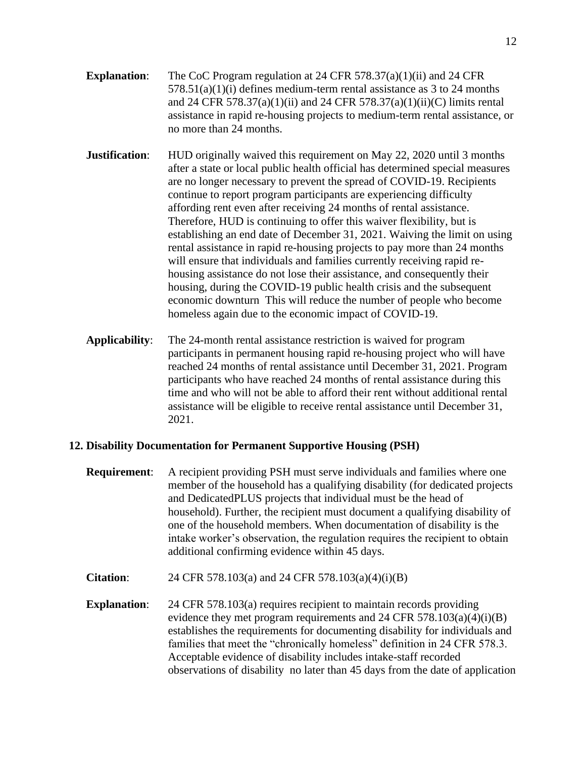- **Explanation**: The CoC Program regulation at 24 CFR 578.37(a)(1)(ii) and 24 CFR  $578.51(a)(1)(i)$  defines medium-term rental assistance as 3 to 24 months and 24 CFR 578.37(a)(1)(ii) and 24 CFR 578.37(a)(1)(ii)(C) limits rental assistance in rapid re-housing projects to medium-term rental assistance, or no more than 24 months.
- **Justification:** HUD originally waived this requirement on May 22, 2020 until 3 months after a state or local public health official has determined special measures are no longer necessary to prevent the spread of COVID-19. Recipients continue to report program participants are experiencing difficulty affording rent even after receiving 24 months of rental assistance. Therefore, HUD is continuing to offer this waiver flexibility, but is establishing an end date of December 31, 2021. Waiving the limit on using rental assistance in rapid re-housing projects to pay more than 24 months will ensure that individuals and families currently receiving rapid rehousing assistance do not lose their assistance, and consequently their housing, during the COVID-19 public health crisis and the subsequent economic downturn This will reduce the number of people who become homeless again due to the economic impact of COVID-19.
- **Applicability**: The 24-month rental assistance restriction is waived for program participants in permanent housing rapid re-housing project who will have reached 24 months of rental assistance until December 31, 2021. Program participants who have reached 24 months of rental assistance during this time and who will not be able to afford their rent without additional rental assistance will be eligible to receive rental assistance until December 31, 2021.

## **12. Disability Documentation for Permanent Supportive Housing (PSH)**

- **Requirement**: A recipient providing PSH must serve individuals and families where one member of the household has a qualifying disability (for dedicated projects and DedicatedPLUS projects that individual must be the head of household). Further, the recipient must document a qualifying disability of one of the household members. When documentation of disability is the intake worker's observation, the regulation requires the recipient to obtain additional confirming evidence within 45 days.
- **Citation**: 24 CFR 578.103(a) and 24 CFR 578.103(a)(4)(i)(B)
- **Explanation:** 24 CFR 578.103(a) requires recipient to maintain records providing evidence they met program requirements and 24 CFR  $578.103(a)(4)(i)(B)$ establishes the requirements for documenting disability for individuals and families that meet the "chronically homeless" definition in 24 CFR 578.3. Acceptable evidence of disability includes intake-staff recorded observations of disability no later than 45 days from the date of application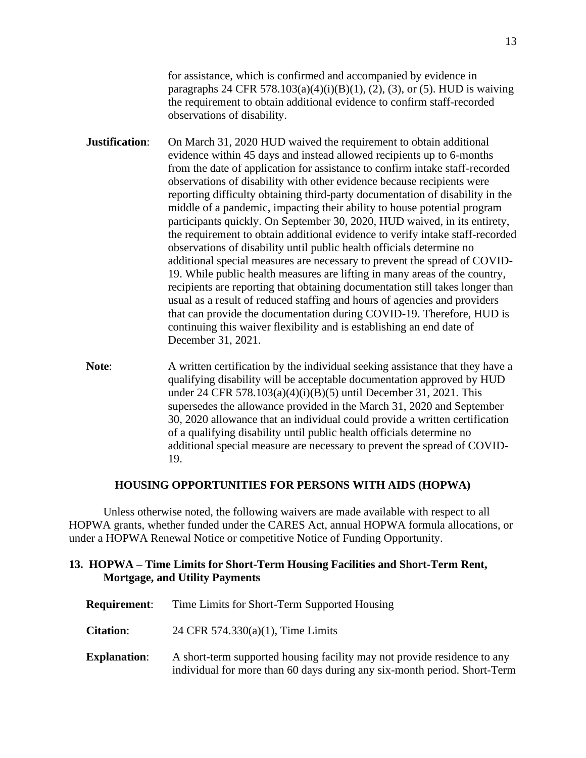for assistance, which is confirmed and accompanied by evidence in paragraphs 24 CFR 578.103(a)(4)(i)(B)(1), (2), (3), or (5). HUD is waiving the requirement to obtain additional evidence to confirm staff-recorded observations of disability.

- **Justification:** On March 31, 2020 HUD waived the requirement to obtain additional evidence within 45 days and instead allowed recipients up to 6-months from the date of application for assistance to confirm intake staff-recorded observations of disability with other evidence because recipients were reporting difficulty obtaining third-party documentation of disability in the middle of a pandemic, impacting their ability to house potential program participants quickly. On September 30, 2020, HUD waived, in its entirety, the requirement to obtain additional evidence to verify intake staff-recorded observations of disability until public health officials determine no additional special measures are necessary to prevent the spread of COVID-19. While public health measures are lifting in many areas of the country, recipients are reporting that obtaining documentation still takes longer than usual as a result of reduced staffing and hours of agencies and providers that can provide the documentation during COVID-19. Therefore, HUD is continuing this waiver flexibility and is establishing an end date of December 31, 2021.
- **Note:** A written certification by the individual seeking assistance that they have a qualifying disability will be acceptable documentation approved by HUD under 24 CFR 578.103(a)(4)(i)(B)(5) until December 31, 2021. This supersedes the allowance provided in the March 31, 2020 and September 30, 2020 allowance that an individual could provide a written certification of a qualifying disability until public health officials determine no additional special measure are necessary to prevent the spread of COVID-19.

#### **HOUSING OPPORTUNITIES FOR PERSONS WITH AIDS (HOPWA)**

Unless otherwise noted, the following waivers are made available with respect to all HOPWA grants, whether funded under the CARES Act, annual HOPWA formula allocations, or under a HOPWA Renewal Notice or competitive Notice of Funding Opportunity.

### **13. HOPWA – Time Limits for Short-Term Housing Facilities and Short-Term Rent, Mortgage, and Utility Payments**

| <b>Requirement:</b> | Time Limits for Short-Term Supported Housing                                                                                                         |
|---------------------|------------------------------------------------------------------------------------------------------------------------------------------------------|
| <b>Citation:</b>    | 24 CFR $574.330(a)(1)$ , Time Limits                                                                                                                 |
| <b>Explanation:</b> | A short-term supported housing facility may not provide residence to any<br>individual for more than 60 days during any six-month period. Short-Term |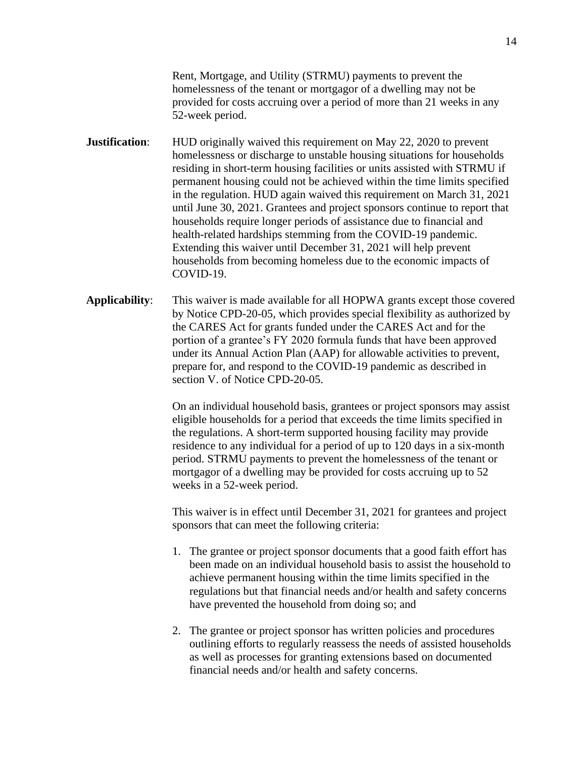Rent, Mortgage, and Utility (STRMU) payments to prevent the homelessness of the tenant or mortgagor of a dwelling may not be provided for costs accruing over a period of more than 21 weeks in any 52-week period.

**Justification:** HUD originally waived this requirement on May 22, 2020 to prevent homelessness or discharge to unstable housing situations for households residing in short-term housing facilities or units assisted with STRMU if permanent housing could not be achieved within the time limits specified in the regulation. HUD again waived this requirement on March 31, 2021 until June 30, 2021. Grantees and project sponsors continue to report that households require longer periods of assistance due to financial and health-related hardships stemming from the COVID-19 pandemic. Extending this waiver until December 31, 2021 will help prevent households from becoming homeless due to the economic impacts of COVID-19.

**Applicability**: This waiver is made available for all HOPWA grants except those covered by Notice CPD-20-05, which provides special flexibility as authorized by the CARES Act for grants funded under the CARES Act and for the portion of a grantee's FY 2020 formula funds that have been approved under its Annual Action Plan (AAP) for allowable activities to prevent, prepare for, and respond to the COVID-19 pandemic as described in section V. of Notice CPD-20-05.

> On an individual household basis, grantees or project sponsors may assist eligible households for a period that exceeds the time limits specified in the regulations. A short-term supported housing facility may provide residence to any individual for a period of up to 120 days in a six-month period. STRMU payments to prevent the homelessness of the tenant or mortgagor of a dwelling may be provided for costs accruing up to 52 weeks in a 52-week period.

This waiver is in effect until December 31, 2021 for grantees and project sponsors that can meet the following criteria:

- 1. The grantee or project sponsor documents that a good faith effort has been made on an individual household basis to assist the household to achieve permanent housing within the time limits specified in the regulations but that financial needs and/or health and safety concerns have prevented the household from doing so; and
- 2. The grantee or project sponsor has written policies and procedures outlining efforts to regularly reassess the needs of assisted households as well as processes for granting extensions based on documented financial needs and/or health and safety concerns.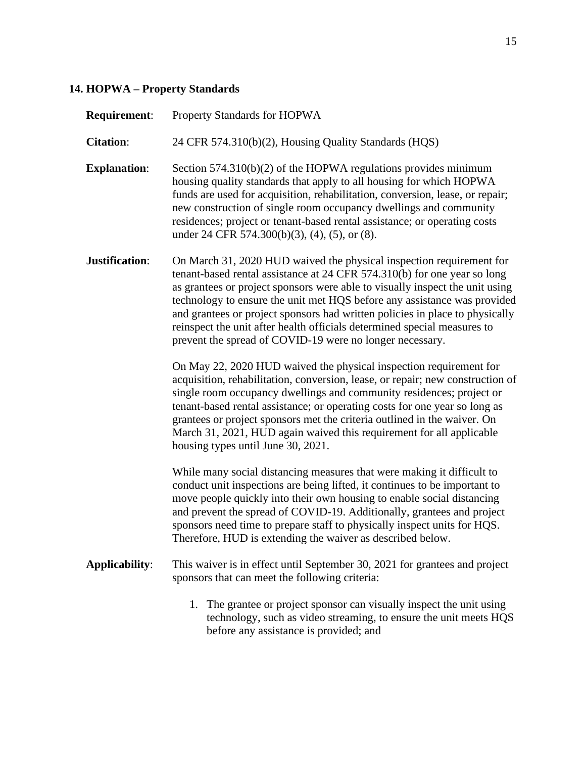# **14. HOPWA – Property Standards**

| <b>Requirement:</b>   | Property Standards for HOPWA                                                                                                                                                                                                                                                                                                                                                                                                                                                                                                         |
|-----------------------|--------------------------------------------------------------------------------------------------------------------------------------------------------------------------------------------------------------------------------------------------------------------------------------------------------------------------------------------------------------------------------------------------------------------------------------------------------------------------------------------------------------------------------------|
| <b>Citation:</b>      | 24 CFR 574.310(b)(2), Housing Quality Standards (HQS)                                                                                                                                                                                                                                                                                                                                                                                                                                                                                |
| <b>Explanation:</b>   | Section $574.310(b)(2)$ of the HOPWA regulations provides minimum<br>housing quality standards that apply to all housing for which HOPWA<br>funds are used for acquisition, rehabilitation, conversion, lease, or repair;<br>new construction of single room occupancy dwellings and community<br>residences; project or tenant-based rental assistance; or operating costs<br>under 24 CFR 574.300(b)(3), (4), (5), or (8).                                                                                                         |
| Justification:        | On March 31, 2020 HUD waived the physical inspection requirement for<br>tenant-based rental assistance at 24 CFR 574.310(b) for one year so long<br>as grantees or project sponsors were able to visually inspect the unit using<br>technology to ensure the unit met HQS before any assistance was provided<br>and grantees or project sponsors had written policies in place to physically<br>reinspect the unit after health officials determined special measures to<br>prevent the spread of COVID-19 were no longer necessary. |
|                       | On May 22, 2020 HUD waived the physical inspection requirement for<br>acquisition, rehabilitation, conversion, lease, or repair; new construction of<br>single room occupancy dwellings and community residences; project or<br>tenant-based rental assistance; or operating costs for one year so long as<br>grantees or project sponsors met the criteria outlined in the waiver. On<br>March 31, 2021, HUD again waived this requirement for all applicable<br>housing types until June 30, 2021.                                 |
|                       | While many social distancing measures that were making it difficult to<br>conduct unit inspections are being lifted, it continues to be important to<br>move people quickly into their own housing to enable social distancing<br>and prevent the spread of COVID-19. Additionally, grantees and project<br>sponsors need time to prepare staff to physically inspect units for HQS.<br>Therefore, HUD is extending the waiver as described below.                                                                                   |
| <b>Applicability:</b> | This waiver is in effect until September 30, 2021 for grantees and project<br>sponsors that can meet the following criteria:                                                                                                                                                                                                                                                                                                                                                                                                         |
|                       | 1. The grantee or project sponsor can visually inspect the unit using<br>technology, such as video streaming, to ensure the unit meets HQS<br>before any assistance is provided; and                                                                                                                                                                                                                                                                                                                                                 |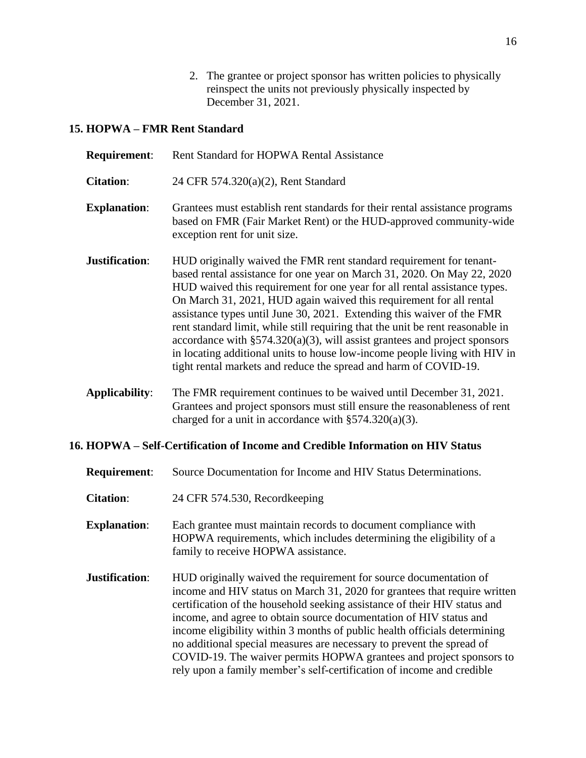2. The grantee or project sponsor has written policies to physically reinspect the units not previously physically inspected by December 31, 2021.

# **15. HOPWA – FMR Rent Standard**

| <b>Requirement:</b>                                                             | Rent Standard for HOPWA Rental Assistance                                                                                                                                                                                                                                                                                                                                                                                                                                                                                                                                                                                                                                                          |
|---------------------------------------------------------------------------------|----------------------------------------------------------------------------------------------------------------------------------------------------------------------------------------------------------------------------------------------------------------------------------------------------------------------------------------------------------------------------------------------------------------------------------------------------------------------------------------------------------------------------------------------------------------------------------------------------------------------------------------------------------------------------------------------------|
| <b>Citation:</b>                                                                | 24 CFR 574.320(a)(2), Rent Standard                                                                                                                                                                                                                                                                                                                                                                                                                                                                                                                                                                                                                                                                |
| <b>Explanation:</b>                                                             | Grantees must establish rent standards for their rental assistance programs<br>based on FMR (Fair Market Rent) or the HUD-approved community-wide<br>exception rent for unit size.                                                                                                                                                                                                                                                                                                                                                                                                                                                                                                                 |
| Justification:                                                                  | HUD originally waived the FMR rent standard requirement for tenant-<br>based rental assistance for one year on March 31, 2020. On May 22, 2020<br>HUD waived this requirement for one year for all rental assistance types.<br>On March 31, 2021, HUD again waived this requirement for all rental<br>assistance types until June 30, 2021. Extending this waiver of the FMR<br>rent standard limit, while still requiring that the unit be rent reasonable in<br>accordance with $\S 574.320(a)(3)$ , will assist grantees and project sponsors<br>in locating additional units to house low-income people living with HIV in<br>tight rental markets and reduce the spread and harm of COVID-19. |
| <b>Applicability:</b>                                                           | The FMR requirement continues to be waived until December 31, 2021.<br>Grantees and project sponsors must still ensure the reasonableness of rent<br>charged for a unit in accordance with $\S 574.320(a)(3)$ .                                                                                                                                                                                                                                                                                                                                                                                                                                                                                    |
| 16. HOPWA – Self-Certification of Income and Credible Information on HIV Status |                                                                                                                                                                                                                                                                                                                                                                                                                                                                                                                                                                                                                                                                                                    |

| <b>Requirement:</b> | Source Documentation for Income and HIV Status Determinations.                                                                                                                                                                                                                                                                                                                                                                                                                                                                                                                                          |
|---------------------|---------------------------------------------------------------------------------------------------------------------------------------------------------------------------------------------------------------------------------------------------------------------------------------------------------------------------------------------------------------------------------------------------------------------------------------------------------------------------------------------------------------------------------------------------------------------------------------------------------|
| <b>Citation:</b>    | 24 CFR 574.530, Recordkeeping                                                                                                                                                                                                                                                                                                                                                                                                                                                                                                                                                                           |
| <b>Explanation:</b> | Each grantee must maintain records to document compliance with<br>HOPWA requirements, which includes determining the eligibility of a<br>family to receive HOPWA assistance.                                                                                                                                                                                                                                                                                                                                                                                                                            |
| Justification:      | HUD originally waived the requirement for source documentation of<br>income and HIV status on March 31, 2020 for grantees that require written<br>certification of the household seeking assistance of their HIV status and<br>income, and agree to obtain source documentation of HIV status and<br>income eligibility within 3 months of public health officials determining<br>no additional special measures are necessary to prevent the spread of<br>COVID-19. The waiver permits HOPWA grantees and project sponsors to<br>rely upon a family member's self-certification of income and credible |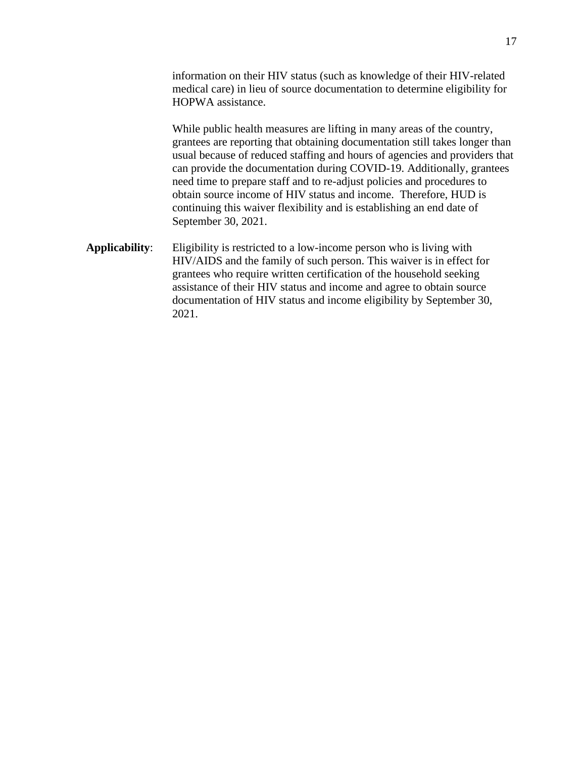information on their HIV status (such as knowledge of their HIV-related medical care) in lieu of source documentation to determine eligibility for HOPWA assistance.

While public health measures are lifting in many areas of the country, grantees are reporting that obtaining documentation still takes longer than usual because of reduced staffing and hours of agencies and providers that can provide the documentation during COVID-19. Additionally, grantees need time to prepare staff and to re-adjust policies and procedures to obtain source income of HIV status and income. Therefore, HUD is continuing this waiver flexibility and is establishing an end date of September 30, 2021.

**Applicability**: Eligibility is restricted to a low-income person who is living with HIV/AIDS and the family of such person. This waiver is in effect for grantees who require written certification of the household seeking assistance of their HIV status and income and agree to obtain source documentation of HIV status and income eligibility by September 30, 2021.